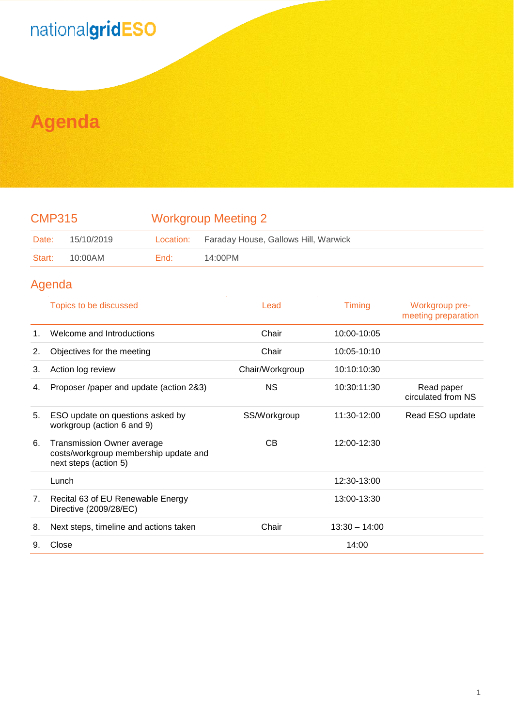## nationalgridESO

## **Agenda**

| <b>CMP315</b> |            | <b>Workgroup Meeting 2</b> |                                      |  |
|---------------|------------|----------------------------|--------------------------------------|--|
| Date:         | 15/10/2019 | Location:                  | Faraday House, Gallows Hill, Warwick |  |
| Start:        | 10:00AM    | End:                       | 14:00PM                              |  |

## Agenda

|         | Topics to be discussed                                                                              | Lead            | Timing          | Workgroup pre-<br>meeting preparation |
|---------|-----------------------------------------------------------------------------------------------------|-----------------|-----------------|---------------------------------------|
| $1_{-}$ | Welcome and Introductions                                                                           | Chair           | 10:00-10:05     |                                       |
| 2.      | Objectives for the meeting                                                                          | Chair           | 10:05-10:10     |                                       |
| 3.      | Action log review                                                                                   | Chair/Workgroup | 10:10:10:30     |                                       |
| 4.      | Proposer /paper and update (action 2&3)                                                             | <b>NS</b>       | 10:30:11:30     | Read paper<br>circulated from NS      |
| 5.      | ESO update on questions asked by<br>workgroup (action 6 and 9)                                      | SS/Workgroup    | 11:30-12:00     | Read ESO update                       |
| 6.      | <b>Transmission Owner average</b><br>costs/workgroup membership update and<br>next steps (action 5) | CВ              | 12:00-12:30     |                                       |
|         | Lunch                                                                                               |                 | 12:30-13:00     |                                       |
| 7.      | Recital 63 of EU Renewable Energy<br>Directive (2009/28/EC)                                         |                 | 13:00-13:30     |                                       |
| 8.      | Next steps, timeline and actions taken                                                              | Chair           | $13:30 - 14:00$ |                                       |
| 9.      | Close                                                                                               |                 | 14:00           |                                       |